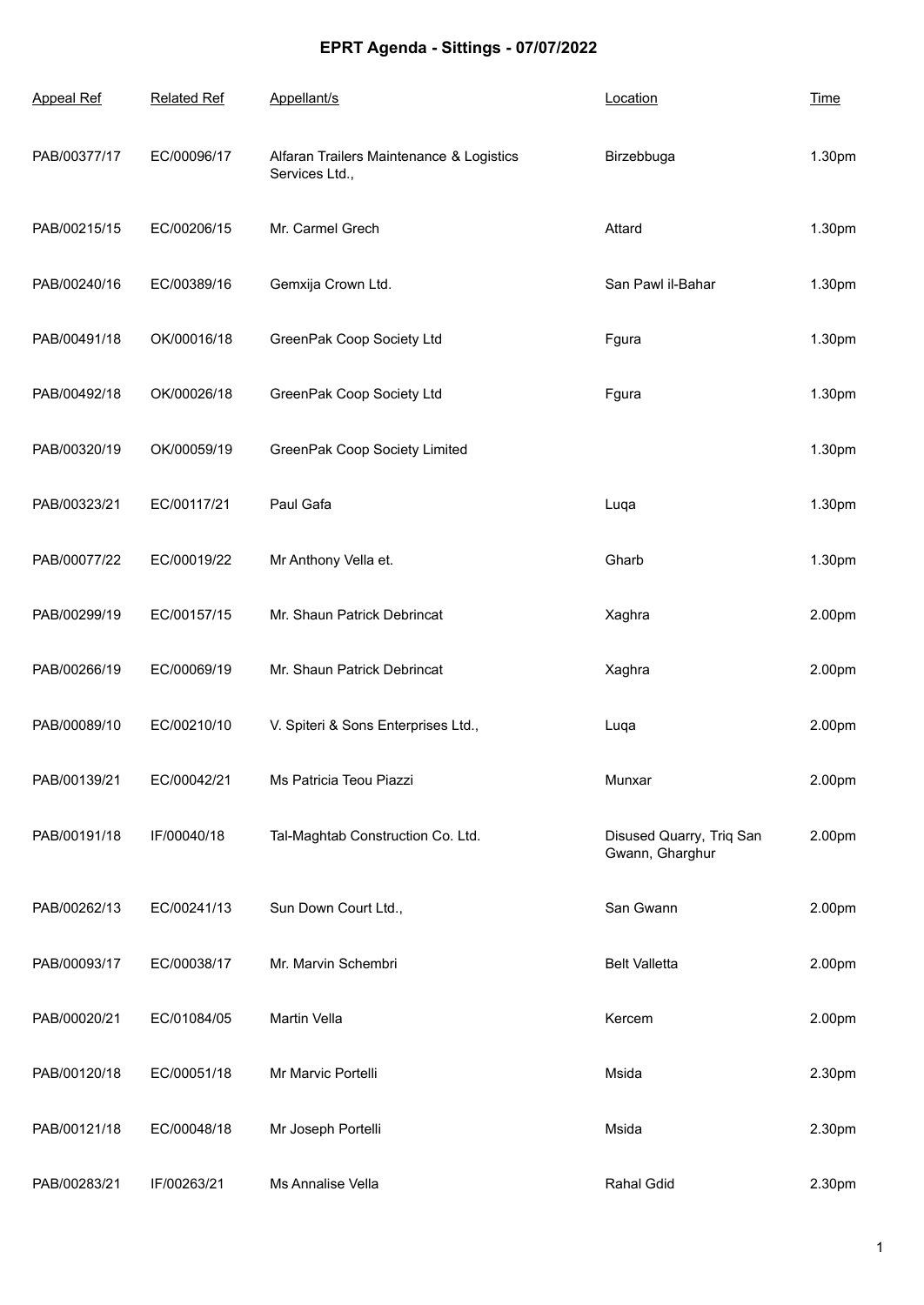## **EPRT Agenda - Sittings - 07/07/2022**

| <b>Appeal Ref</b> | <b>Related Ref</b> | Appellant/s                                                | Location                                    | <b>Time</b> |
|-------------------|--------------------|------------------------------------------------------------|---------------------------------------------|-------------|
| PAB/00377/17      | EC/00096/17        | Alfaran Trailers Maintenance & Logistics<br>Services Ltd., | Birzebbuga                                  | 1.30pm      |
| PAB/00215/15      | EC/00206/15        | Mr. Carmel Grech                                           | Attard                                      | 1.30pm      |
| PAB/00240/16      | EC/00389/16        | Gemxija Crown Ltd.                                         | San Pawl il-Bahar                           | 1.30pm      |
| PAB/00491/18      | OK/00016/18        | GreenPak Coop Society Ltd                                  | Fgura                                       | 1.30pm      |
| PAB/00492/18      | OK/00026/18        | GreenPak Coop Society Ltd                                  | Fgura                                       | 1.30pm      |
| PAB/00320/19      | OK/00059/19        | GreenPak Coop Society Limited                              |                                             | 1.30pm      |
| PAB/00323/21      | EC/00117/21        | Paul Gafa                                                  | Luqa                                        | 1.30pm      |
| PAB/00077/22      | EC/00019/22        | Mr Anthony Vella et.                                       | Gharb                                       | 1.30pm      |
| PAB/00299/19      | EC/00157/15        | Mr. Shaun Patrick Debrincat                                | Xaghra                                      | 2.00pm      |
| PAB/00266/19      | EC/00069/19        | Mr. Shaun Patrick Debrincat                                | Xaghra                                      | 2.00pm      |
| PAB/00089/10      | EC/00210/10        | V. Spiteri & Sons Enterprises Ltd.,                        | Luqa                                        | 2.00pm      |
| PAB/00139/21      | EC/00042/21        | Ms Patricia Teou Piazzi                                    | Munxar                                      | 2.00pm      |
| PAB/00191/18      | IF/00040/18        | Tal-Maghtab Construction Co. Ltd.                          | Disused Quarry, Triq San<br>Gwann, Gharghur | 2.00pm      |
| PAB/00262/13      | EC/00241/13        | Sun Down Court Ltd.,                                       | San Gwann                                   | 2.00pm      |
| PAB/00093/17      | EC/00038/17        | Mr. Marvin Schembri                                        | <b>Belt Valletta</b>                        | 2.00pm      |
| PAB/00020/21      | EC/01084/05        | Martin Vella                                               | Kercem                                      | 2.00pm      |
| PAB/00120/18      | EC/00051/18        | Mr Marvic Portelli                                         | Msida                                       | 2.30pm      |
| PAB/00121/18      | EC/00048/18        | Mr Joseph Portelli                                         | Msida                                       | 2.30pm      |
| PAB/00283/21      | IF/00263/21        | Ms Annalise Vella                                          | Rahal Gdid                                  | 2.30pm      |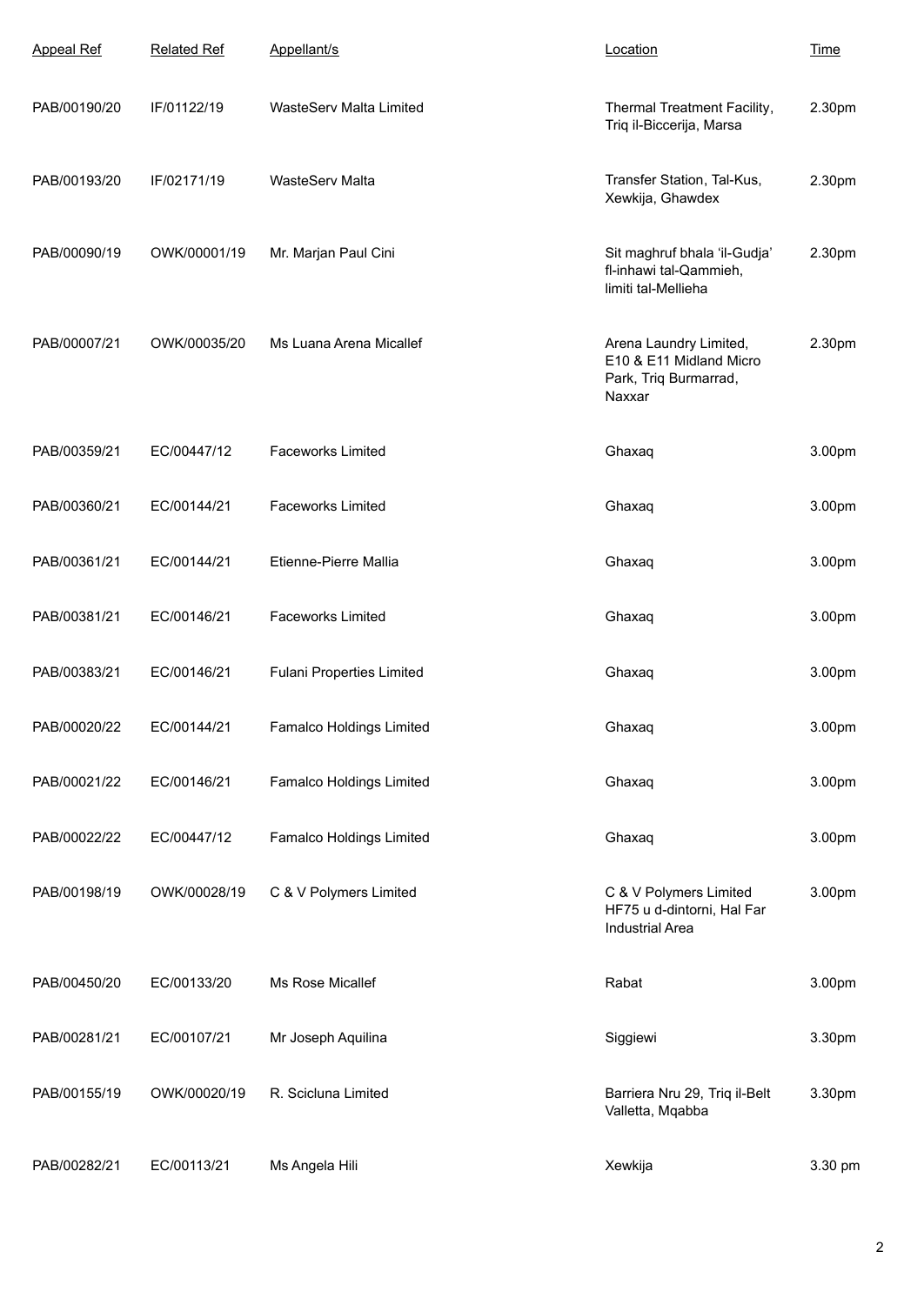| <b>Appeal Ref</b> | <b>Related Ref</b> | Appellant/s                      | Location                                                                             | <b>Time</b> |
|-------------------|--------------------|----------------------------------|--------------------------------------------------------------------------------------|-------------|
| PAB/00190/20      | IF/01122/19        | WasteServ Malta Limited          | Thermal Treatment Facility,<br>Triq il-Biccerija, Marsa                              | 2.30pm      |
| PAB/00193/20      | IF/02171/19        | WasteServ Malta                  | Transfer Station, Tal-Kus,<br>Xewkija, Ghawdex                                       | 2.30pm      |
| PAB/00090/19      | OWK/00001/19       | Mr. Marjan Paul Cini             | Sit maghruf bhala 'il-Gudja'<br>fl-inhawi tal-Qammieh,<br>limiti tal-Mellieha        | 2.30pm      |
| PAB/00007/21      | OWK/00035/20       | Ms Luana Arena Micallef          | Arena Laundry Limited,<br>E10 & E11 Midland Micro<br>Park, Triq Burmarrad,<br>Naxxar | 2.30pm      |
| PAB/00359/21      | EC/00447/12        | <b>Faceworks Limited</b>         | Ghaxaq                                                                               | 3.00pm      |
| PAB/00360/21      | EC/00144/21        | <b>Faceworks Limited</b>         | Ghaxaq                                                                               | 3.00pm      |
| PAB/00361/21      | EC/00144/21        | Etienne-Pierre Mallia            | Ghaxaq                                                                               | 3.00pm      |
| PAB/00381/21      | EC/00146/21        | <b>Faceworks Limited</b>         | Ghaxaq                                                                               | 3.00pm      |
| PAB/00383/21      | EC/00146/21        | <b>Fulani Properties Limited</b> | Ghaxaq                                                                               | 3.00pm      |
| PAB/00020/22      | EC/00144/21        | Famalco Holdings Limited         | Ghaxaq                                                                               | 3.00pm      |
| PAB/00021/22      | EC/00146/21        | Famalco Holdings Limited         | Ghaxaq                                                                               | 3.00pm      |
| PAB/00022/22      | EC/00447/12        | Famalco Holdings Limited         | Ghaxaq                                                                               | 3.00pm      |
| PAB/00198/19      | OWK/00028/19       | C & V Polymers Limited           | C & V Polymers Limited<br>HF75 u d-dintorni, Hal Far<br><b>Industrial Area</b>       | 3.00pm      |
| PAB/00450/20      | EC/00133/20        | Ms Rose Micallef                 | Rabat                                                                                | 3.00pm      |
| PAB/00281/21      | EC/00107/21        | Mr Joseph Aquilina               | Siggiewi                                                                             | 3.30pm      |
| PAB/00155/19      | OWK/00020/19       | R. Scicluna Limited              | Barriera Nru 29, Triq il-Belt<br>Valletta, Mqabba                                    | 3.30pm      |
| PAB/00282/21      | EC/00113/21        | Ms Angela Hili                   | Xewkija                                                                              | 3.30 pm     |